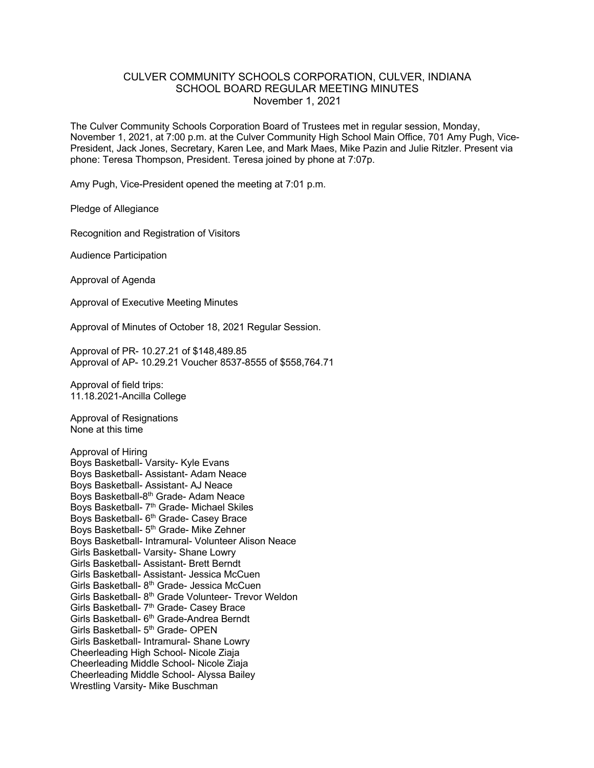## CULVER COMMUNITY SCHOOLS CORPORATION, CULVER, INDIANA SCHOOL BOARD REGULAR MEETING MINUTES November 1, 2021

The Culver Community Schools Corporation Board of Trustees met in regular session, Monday, November 1, 2021, at 7:00 p.m. at the Culver Community High School Main Office, 701 Amy Pugh, Vice-President, Jack Jones, Secretary, Karen Lee, and Mark Maes, Mike Pazin and Julie Ritzler. Present via phone: Teresa Thompson, President. Teresa joined by phone at 7:07p.

Amy Pugh, Vice-President opened the meeting at 7:01 p.m.

Pledge of Allegiance

Recognition and Registration of Visitors

Audience Participation

Approval of Agenda

Approval of Executive Meeting Minutes

Approval of Minutes of October 18, 2021 Regular Session.

Approval of PR- 10.27.21 of \$148,489.85 Approval of AP- 10.29.21 Voucher 8537-8555 of \$558,764.71

Approval of field trips: 11.18.2021-Ancilla College

Approval of Resignations None at this time

Approval of Hiring Boys Basketball- Varsity- Kyle Evans Boys Basketball- Assistant- Adam Neace Boys Basketball- Assistant- AJ Neace Boys Basketball-8th Grade- Adam Neace Boys Basketball- 7<sup>th</sup> Grade- Michael Skiles Boys Basketball- 6<sup>th</sup> Grade- Casey Brace Boys Basketball- 5<sup>th</sup> Grade- Mike Zehner Boys Basketball- Intramural- Volunteer Alison Neace Girls Basketball- Varsity- Shane Lowry Girls Basketball- Assistant- Brett Berndt Girls Basketball- Assistant- Jessica McCuen Girls Basketball- 8<sup>th</sup> Grade- Jessica McCuen Girls Basketball- 8<sup>th</sup> Grade Volunteer- Trevor Weldon Girls Basketball- 7<sup>th</sup> Grade- Casey Brace Girls Basketball- 6<sup>th</sup> Grade-Andrea Berndt Girls Basketball- 5<sup>th</sup> Grade- OPEN Girls Basketball- Intramural- Shane Lowry Cheerleading High School- Nicole Ziaja Cheerleading Middle School- Nicole Ziaja Cheerleading Middle School- Alyssa Bailey Wrestling Varsity- Mike Buschman